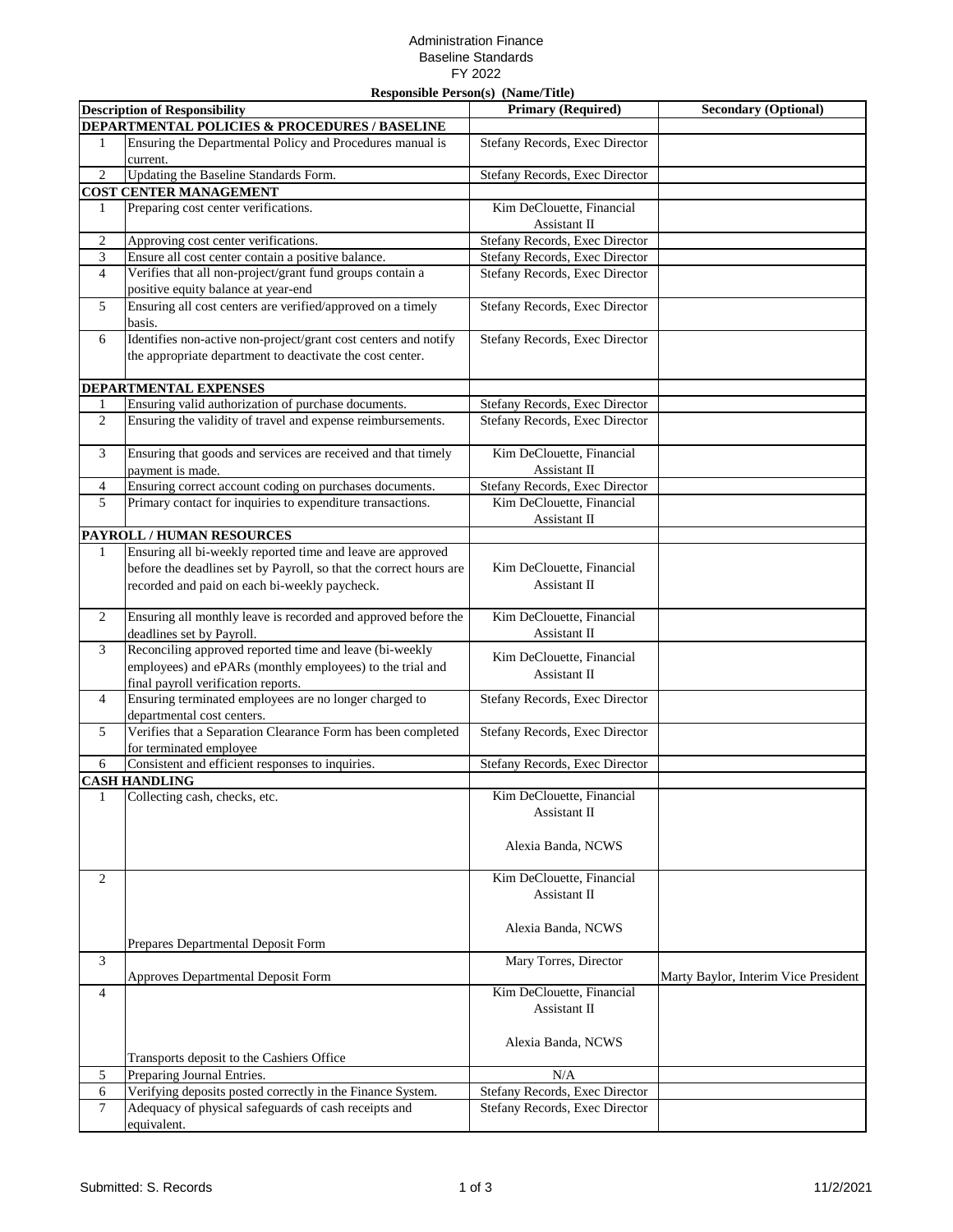## Administration Finance Baseline Standards FY 2022

| <b>Responsible Person(s)</b> (Name/Title) |                                                                                                                                   |                                           |                                      |  |  |  |
|-------------------------------------------|-----------------------------------------------------------------------------------------------------------------------------------|-------------------------------------------|--------------------------------------|--|--|--|
|                                           | <b>Description of Responsibility</b>                                                                                              | <b>Primary (Required)</b>                 | <b>Secondary (Optional)</b>          |  |  |  |
|                                           | DEPARTMENTAL POLICIES & PROCEDURES / BASELINE                                                                                     |                                           |                                      |  |  |  |
| 1                                         | Ensuring the Departmental Policy and Procedures manual is                                                                         | Stefany Records, Exec Director            |                                      |  |  |  |
|                                           | current.                                                                                                                          |                                           |                                      |  |  |  |
| $\overline{c}$                            | Updating the Baseline Standards Form.                                                                                             | Stefany Records, Exec Director            |                                      |  |  |  |
|                                           | <b>COST CENTER MANAGEMENT</b>                                                                                                     |                                           |                                      |  |  |  |
| 1                                         | Preparing cost center verifications.                                                                                              | Kim DeClouette, Financial<br>Assistant II |                                      |  |  |  |
| $\mathfrak{2}$                            | Approving cost center verifications.                                                                                              | Stefany Records, Exec Director            |                                      |  |  |  |
| 3                                         | Ensure all cost center contain a positive balance.                                                                                | Stefany Records, Exec Director            |                                      |  |  |  |
| $\overline{4}$                            | Verifies that all non-project/grant fund groups contain a                                                                         | Stefany Records, Exec Director            |                                      |  |  |  |
|                                           | positive equity balance at year-end                                                                                               |                                           |                                      |  |  |  |
| 5                                         | Ensuring all cost centers are verified/approved on a timely<br>basis.                                                             | Stefany Records, Exec Director            |                                      |  |  |  |
| 6                                         | Identifies non-active non-project/grant cost centers and notify<br>the appropriate department to deactivate the cost center.      | Stefany Records, Exec Director            |                                      |  |  |  |
|                                           | <b>DEPARTMENTAL EXPENSES</b>                                                                                                      |                                           |                                      |  |  |  |
| 1                                         | Ensuring valid authorization of purchase documents.                                                                               | Stefany Records, Exec Director            |                                      |  |  |  |
| $\overline{c}$                            | Ensuring the validity of travel and expense reimbursements.                                                                       | Stefany Records, Exec Director            |                                      |  |  |  |
|                                           |                                                                                                                                   |                                           |                                      |  |  |  |
| 3                                         | Ensuring that goods and services are received and that timely<br>payment is made.                                                 | Kim DeClouette, Financial<br>Assistant II |                                      |  |  |  |
| $\overline{4}$                            | Ensuring correct account coding on purchases documents.                                                                           | Stefany Records, Exec Director            |                                      |  |  |  |
| 5                                         | Primary contact for inquiries to expenditure transactions.                                                                        | Kim DeClouette, Financial                 |                                      |  |  |  |
|                                           |                                                                                                                                   | Assistant II                              |                                      |  |  |  |
|                                           | <b>PAYROLL / HUMAN RESOURCES</b>                                                                                                  |                                           |                                      |  |  |  |
| $\mathbf{1}$                              | Ensuring all bi-weekly reported time and leave are approved<br>before the deadlines set by Payroll, so that the correct hours are | Kim DeClouette, Financial                 |                                      |  |  |  |
|                                           | recorded and paid on each bi-weekly paycheck.                                                                                     | Assistant II                              |                                      |  |  |  |
| 2                                         | Ensuring all monthly leave is recorded and approved before the<br>deadlines set by Payroll.                                       | Kim DeClouette, Financial<br>Assistant II |                                      |  |  |  |
| 3                                         | Reconciling approved reported time and leave (bi-weekly                                                                           | Kim DeClouette, Financial                 |                                      |  |  |  |
|                                           | employees) and ePARs (monthly employees) to the trial and<br>final payroll verification reports.                                  | Assistant II                              |                                      |  |  |  |
| $\overline{4}$                            | Ensuring terminated employees are no longer charged to                                                                            |                                           |                                      |  |  |  |
|                                           |                                                                                                                                   | Stefany Records, Exec Director            |                                      |  |  |  |
|                                           | departmental cost centers.                                                                                                        |                                           |                                      |  |  |  |
| 5                                         | Verifies that a Separation Clearance Form has been completed<br>for terminated employee                                           | Stefany Records, Exec Director            |                                      |  |  |  |
|                                           |                                                                                                                                   | Stefany Records, Exec Director            |                                      |  |  |  |
| 6                                         | Consistent and efficient responses to inquiries.                                                                                  |                                           |                                      |  |  |  |
|                                           | <b>CASH HANDLING</b>                                                                                                              |                                           |                                      |  |  |  |
| 1                                         | Collecting cash, checks, etc.                                                                                                     | Kim DeClouette, Financial                 |                                      |  |  |  |
|                                           |                                                                                                                                   | Assistant II                              |                                      |  |  |  |
|                                           |                                                                                                                                   |                                           |                                      |  |  |  |
|                                           |                                                                                                                                   | Alexia Banda, NCWS                        |                                      |  |  |  |
| 2                                         |                                                                                                                                   | Kim DeClouette, Financial                 |                                      |  |  |  |
|                                           |                                                                                                                                   | Assistant II                              |                                      |  |  |  |
|                                           |                                                                                                                                   |                                           |                                      |  |  |  |
|                                           |                                                                                                                                   | Alexia Banda, NCWS                        |                                      |  |  |  |
|                                           | Prepares Departmental Deposit Form                                                                                                |                                           |                                      |  |  |  |
| 3                                         |                                                                                                                                   | Mary Torres, Director                     |                                      |  |  |  |
|                                           |                                                                                                                                   |                                           |                                      |  |  |  |
| 4                                         | Approves Departmental Deposit Form                                                                                                | Kim DeClouette, Financial                 | Marty Baylor, Interim Vice President |  |  |  |
|                                           |                                                                                                                                   | Assistant II                              |                                      |  |  |  |
|                                           |                                                                                                                                   |                                           |                                      |  |  |  |
|                                           |                                                                                                                                   |                                           |                                      |  |  |  |
|                                           |                                                                                                                                   | Alexia Banda, NCWS                        |                                      |  |  |  |
|                                           | Transports deposit to the Cashiers Office                                                                                         |                                           |                                      |  |  |  |
| 5                                         | Preparing Journal Entries.                                                                                                        | N/A                                       |                                      |  |  |  |
| 6                                         | Verifying deposits posted correctly in the Finance System.                                                                        | Stefany Records, Exec Director            |                                      |  |  |  |
| 7                                         | Adequacy of physical safeguards of cash receipts and                                                                              | Stefany Records, Exec Director            |                                      |  |  |  |
|                                           | equivalent.                                                                                                                       |                                           |                                      |  |  |  |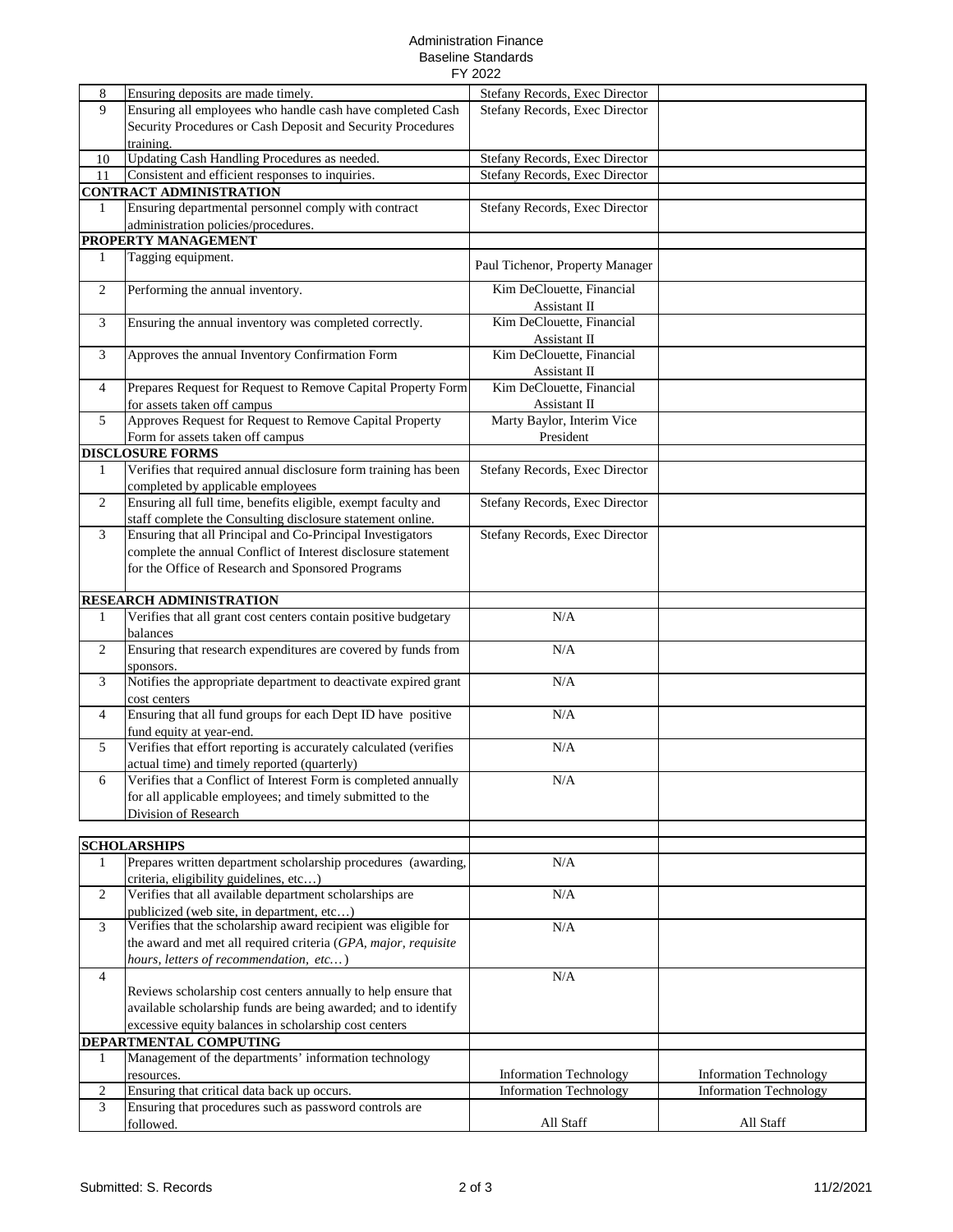## Administration Finance Baseline Standards FY 2022

|                |                                                                   | LI TORT                         |                                                                |
|----------------|-------------------------------------------------------------------|---------------------------------|----------------------------------------------------------------|
| 8              | Ensuring deposits are made timely.                                | Stefany Records, Exec Director  |                                                                |
| 9              | Ensuring all employees who handle cash have completed Cash        | Stefany Records, Exec Director  |                                                                |
|                | Security Procedures or Cash Deposit and Security Procedures       |                                 |                                                                |
|                | training.                                                         |                                 |                                                                |
| 10             | Updating Cash Handling Procedures as needed.                      | Stefany Records, Exec Director  |                                                                |
| 11             | Consistent and efficient responses to inquiries.                  | Stefany Records, Exec Director  |                                                                |
|                |                                                                   |                                 |                                                                |
|                | <b>CONTRACT ADMINISTRATION</b>                                    |                                 |                                                                |
| 1              | Ensuring departmental personnel comply with contract              | Stefany Records, Exec Director  |                                                                |
|                | administration policies/procedures.                               |                                 |                                                                |
|                | PROPERTY MANAGEMENT                                               |                                 |                                                                |
| 1              | Tagging equipment.                                                | Paul Tichenor, Property Manager |                                                                |
|                |                                                                   |                                 |                                                                |
| $\overline{c}$ | Performing the annual inventory.                                  | Kim DeClouette, Financial       |                                                                |
|                |                                                                   | Assistant II                    |                                                                |
| 3              | Ensuring the annual inventory was completed correctly.            | Kim DeClouette, Financial       |                                                                |
|                |                                                                   | Assistant II                    |                                                                |
| 3              | Approves the annual Inventory Confirmation Form                   | Kim DeClouette, Financial       |                                                                |
|                |                                                                   | Assistant II                    |                                                                |
| 4              | Prepares Request for Request to Remove Capital Property Form      | Kim DeClouette, Financial       |                                                                |
|                | for assets taken off campus                                       | Assistant II                    |                                                                |
| 5              | Approves Request for Request to Remove Capital Property           | Marty Baylor, Interim Vice      |                                                                |
|                | Form for assets taken off campus                                  | President                       |                                                                |
|                | <b>DISCLOSURE FORMS</b>                                           |                                 |                                                                |
| 1              | Verifies that required annual disclosure form training has been   | Stefany Records, Exec Director  |                                                                |
|                | completed by applicable employees                                 |                                 |                                                                |
| 2              | Ensuring all full time, benefits eligible, exempt faculty and     | Stefany Records, Exec Director  |                                                                |
|                | staff complete the Consulting disclosure statement online.        |                                 |                                                                |
| 3              | Ensuring that all Principal and Co-Principal Investigators        | Stefany Records, Exec Director  |                                                                |
|                |                                                                   |                                 |                                                                |
|                | complete the annual Conflict of Interest disclosure statement     |                                 |                                                                |
|                | for the Office of Research and Sponsored Programs                 |                                 |                                                                |
|                |                                                                   |                                 |                                                                |
|                | RESEARCH ADMINISTRATION                                           |                                 |                                                                |
| $\mathbf{1}$   | Verifies that all grant cost centers contain positive budgetary   | N/A                             |                                                                |
|                | balances                                                          |                                 |                                                                |
| $\overline{c}$ | Ensuring that research expenditures are covered by funds from     | N/A                             |                                                                |
|                | sponsors.                                                         |                                 |                                                                |
| 3              | Notifies the appropriate department to deactivate expired grant   | N/A                             |                                                                |
|                | cost centers                                                      |                                 |                                                                |
| 4              | Ensuring that all fund groups for each Dept ID have positive      | N/A                             |                                                                |
|                | fund equity at year-end.                                          |                                 |                                                                |
| 5              | Verifies that effort reporting is accurately calculated (verifies | N/A                             |                                                                |
|                | actual time) and timely reported (quarterly)                      |                                 |                                                                |
| 6              | Verifies that a Conflict of Interest Form is completed annually   | N/A                             |                                                                |
|                | for all applicable employees; and timely submitted to the         |                                 |                                                                |
|                | Division of Research                                              |                                 |                                                                |
|                |                                                                   |                                 |                                                                |
|                | <b>SCHOLARSHIPS</b>                                               |                                 |                                                                |
| $\mathbf{1}$   | Prepares written department scholarship procedures (awarding,     | N/A                             |                                                                |
|                | criteria, eligibility guidelines, etc)                            |                                 |                                                                |
| $\overline{2}$ | Verifies that all available department scholarships are           | N/A                             |                                                                |
|                | publicized (web site, in department, etc)                         |                                 |                                                                |
| 3              | Verifies that the scholarship award recipient was eligible for    | N/A                             |                                                                |
|                | the award and met all required criteria (GPA, major, requisite    |                                 |                                                                |
|                | hours, letters of recommendation, etc)                            |                                 |                                                                |
| $\overline{4}$ |                                                                   | $\rm N/A$                       |                                                                |
|                | Reviews scholarship cost centers annually to help ensure that     |                                 |                                                                |
|                | available scholarship funds are being awarded; and to identify    |                                 |                                                                |
|                | excessive equity balances in scholarship cost centers             |                                 |                                                                |
|                |                                                                   |                                 |                                                                |
|                | DEPARTMENTAL COMPUTING                                            |                                 |                                                                |
| 1              | Management of the departments' information technology             |                                 |                                                                |
|                | resources.                                                        | <b>Information Technology</b>   | <b>Information Technology</b><br><b>Information</b> Technology |
| 2              | Ensuring that critical data back up occurs.                       | <b>Information Technology</b>   |                                                                |
| 3              | Ensuring that procedures such as password controls are            |                                 |                                                                |
|                | followed.                                                         | All Staff                       | All Staff                                                      |